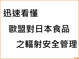# **迅速看懂**

# **歐盟對日本食品**

# **之輻射安全管理**

**TFDA**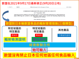# **歐盟在2021年9月17日最新修正(9月20日公布)**

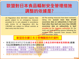

(2) Regulation (EU) 2017/625 requires that goods subject to an emergency measure provided for in acts adopted in accordance with Article 53 of Regulation (EC) No 178/2002 are subject to official controls at their entry into the Union.

(4) The existing measures have been reviewed, taking into **account more than 87,000 occurrence data on radioactivity in feed and food other than beef and more than 429,000 occurrence data on radioactivity in beef** provided by the Japanese authorities for the ninth and tenth growing seasons following the accident (data reported from January 2019 until December 2020).

**TFDA**

歐盟是依據日本主管機關提

- 歐盟2021年9月17日依據**日本官方提供之食品及飼料輻射監測數據(超過 516,000筆資料)**做為新管制法規的調整依據。
- 本次的檢討,歐盟解除了福島縣、宮城縣及群馬縣的楤木嫩芽、福島的 群馬縣的蘑菇、靜岡縣、山梨縣及山形縣的野菜、以及非野生的蘑 非乾燥的柿子等輸歐盟檢附輻射檢測證明 歐盟未強制要求各會員國須進行抽掛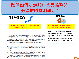TFDA





### ANNEX II 部分縣市之部分產品需 檢測證明或產地證明

#### Article 4

#### Official certificate

Each consignment of products referred to and falling under the CN codes mentioned in Annex II and the compound products containing in quantity more than 50 % of the products listed in Annex II, originating in or dispatched from Japan, shall be accompanied by a valid original official certificate drawn up and signed in accordance with Article 5.

The official certificate referred to in paragraph 1 shall attest that the products comply with Japanese applicable law and with the maximum level for the sum of caesium-134 and caesium-137 as set out in Annex I.

- The official certificate referred to in paragraph 1 shall furthermore state that one of the following applies:
- the product does not originate in and is not dispatched from one of the prefectures listed in Annex II, for which the sampling and analysis of this product is required;
- (b) the product is dispatched from but does not originate in one of the prefectures listed in Annex II, for which the sampling and analysis of this product is required, and has not been exposed to radioactivity during transiting or processing;
- (c) the product originates in one of the prefectures listed in Annex II, for which the sampling and analysis of this product is required and is accompanied by an analytical report containing the results of sampling and analysis;
- (d) the origin of the product or of its ingredients present in quantity at more than 50  $%$  is unknown and the product is accompanied by an analytical report containing the results of sampling and analytis.

Fish and fishery products referred to in Annex II, which are caught or harvested in the coastal waters of the prefecture of Fukushima and Gunma, shall be accompanied by the official certificate referred to in paragraph 1 and by an analytical report containing the results of sampling and analysis, irrespective of where in Japan such products are landed.



## 原料為ANNEX II (a)到(e)所列 <u> 超禍50%者</u>

**ANNEX II:** Food and feed for which sampling and analysis regarding the presence of caesium-134 and caesium- 137 are required before export to the Union: compound products containing in quantity more than 50 % of the products listed under points (a) to (e) of this Annex.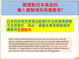



(6)The official controls performed at entry into the Union show that the special conditions provided for by Union law are correctly implemented by the Japanese authorities, and no cases of non-compliance with Union law have been found during official import controls for more than nine years. Therefore, it is appropriate to keep the low frequency of official controls at entry into the Union of food and feed subject to this Regulation.

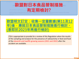

**歐盟明文訂定:收集一定量數據(第11及12 年)後,應就日本食品管制措施進行檢討。 (意即於2023年再進行檢討)**

(7)It is appropriate to provide for a review of this Regulation when the results of the sampling and analysis for the presence of radioactivity in feed and food of the eleventh and twelfth growing seasons (2021 and 2022) after the accident are available.